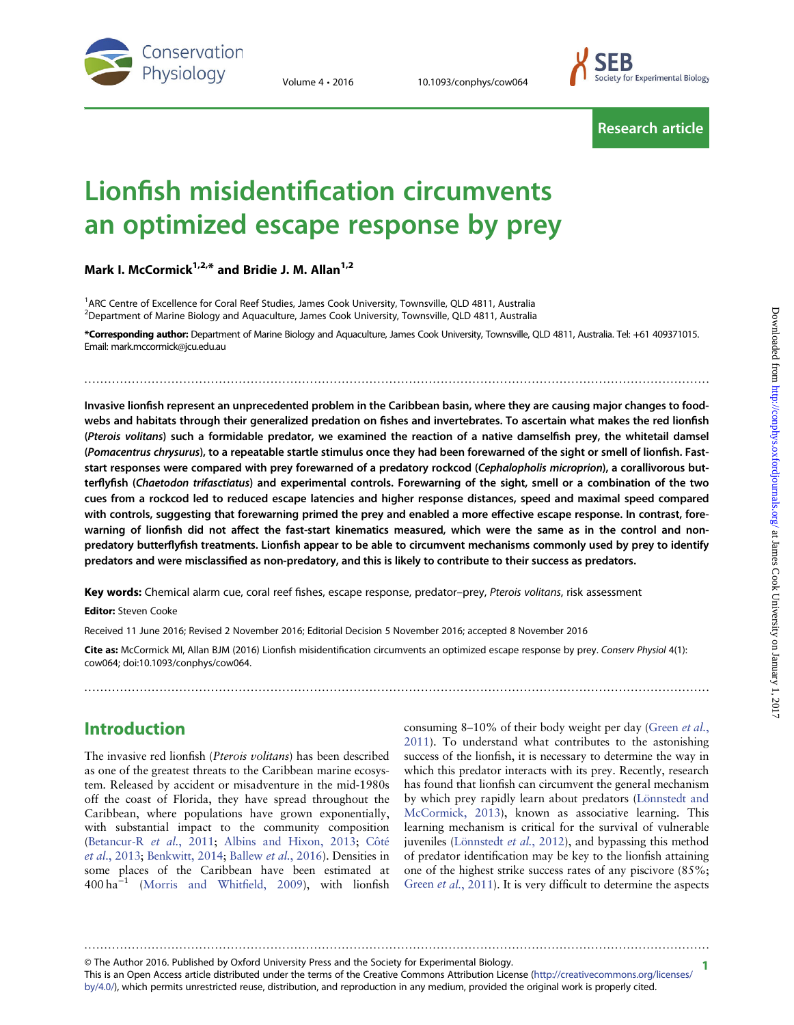

Volume 4 · 2016 10.1093/conphys/cow064



Research article

# Lionfish misidentification circumvents an optimized escape response by prey

Mark I. McCormick $1.2,*$  and Bridie J. M. Allan $1.2$ 

<sup>1</sup>ARC Centre of Excellence for Coral Reef Studies, James Cook University, Townsville, QLD 4811, Australia <sup>2</sup>Department of Marine Biology and Aquaculture, James Cook University, Townsville, QLD 4811, Australia

\*Corresponding author: Department of Marine Biology and Aquaculture, James Cook University, Townsville, QLD 4811, Australia. Tel: +61 409371015. Email: mark.mccormick@jcu.edu.au

..............................................................................................................................................................

Invasive lionfish represent an unprecedented problem in the Caribbean basin, where they are causing major changes to foodwebs and habitats through their generalized predation on fishes and invertebrates. To ascertain what makes the red lionfish (Pterois volitans) such a formidable predator, we examined the reaction of a native damselfish prey, the whitetail damsel (Pomacentrus chrysurus), to a repeatable startle stimulus once they had been forewarned of the sight or smell of lionfish. Faststart responses were compared with prey forewarned of a predatory rockcod (Cephalopholis microprion), a corallivorous butterflyfish (Chaetodon trifasctiatus) and experimental controls. Forewarning of the sight, smell or a combination of the two cues from a rockcod led to reduced escape latencies and higher response distances, speed and maximal speed compared with controls, suggesting that forewarning primed the prey and enabled a more effective escape response. In contrast, forewarning of lionfish did not affect the fast-start kinematics measured, which were the same as in the control and nonpredatory butterflyfish treatments. Lionfish appear to be able to circumvent mechanisms commonly used by prey to identify predators and were misclassified as non-predatory, and this is likely to contribute to their success as predators.

Key words: Chemical alarm cue, coral reef fishes, escape response, predator-prey, Pterois volitans, risk assessment

Editor: Steven Cooke

Received 11 June 2016; Revised 2 November 2016; Editorial Decision 5 November 2016; accepted 8 November 2016

Cite as: McCormick MI, Allan BJM (2016) Lionfish misidentification circumvents an optimized escape response by prey. Conserv Physiol 4(1): cow064; doi:10.1093/conphys/cow064.

..............................................................................................................................................................

# Introduction

The invasive red lionfish (Pterois volitans) has been described as one of the greatest threats to the Caribbean marine ecosystem. Released by accident or misadventure in the mid-1980s off the coast of Florida, they have spread throughout the Caribbean, where populations have grown exponentially, with substantial impact to the community composition [\(Betancur-R](#page-6-0) et al., 2011; [Albins and Hixon, 2013;](#page-6-0) [Côté](#page-7-0) et al.[, 2013](#page-7-0); [Benkwitt, 2014](#page-6-0); [Ballew](#page-6-0) et al., 2016). Densities in some places of the Caribbean have been estimated at 400 ha−<sup>1</sup> [\(Morris and Whit](#page-7-0)field, 2009), with lionfish consuming 8–10% of their body weight per day [\(Green](#page-7-0) et al., [2011](#page-7-0)). To understand what contributes to the astonishing success of the lionfish, it is necessary to determine the way in which this predator interacts with its prey. Recently, research has found that lionfish can circumvent the general mechanism by which prey rapidly learn about predators [\(Lönnstedt and](#page-7-0) [McCormick, 2013](#page-7-0)), known as associative learning. This learning mechanism is critical for the survival of vulnerable juveniles [\(Lönnstedt](#page-7-0) et al., 2012), and bypassing this method of predator identification may be key to the lionfish attaining one of the highest strike success rates of any piscivore (85%; Green et al.[, 2011\)](#page-7-0). It is very difficult to determine the aspects

1 © The Author 2016. Published by Oxford University Press and the Society for Experimental Biology.

This is an Open Access article distributed under the terms of the Creative Commons Attribution License [\(http://creativecommons.org/licenses/](http://creativecommons.org/licenses/by/4.0/) [by/4.0/](http://creativecommons.org/licenses/by/4.0/)), which permits unrestricted reuse, distribution, and reproduction in any medium, provided the original work is properly cited.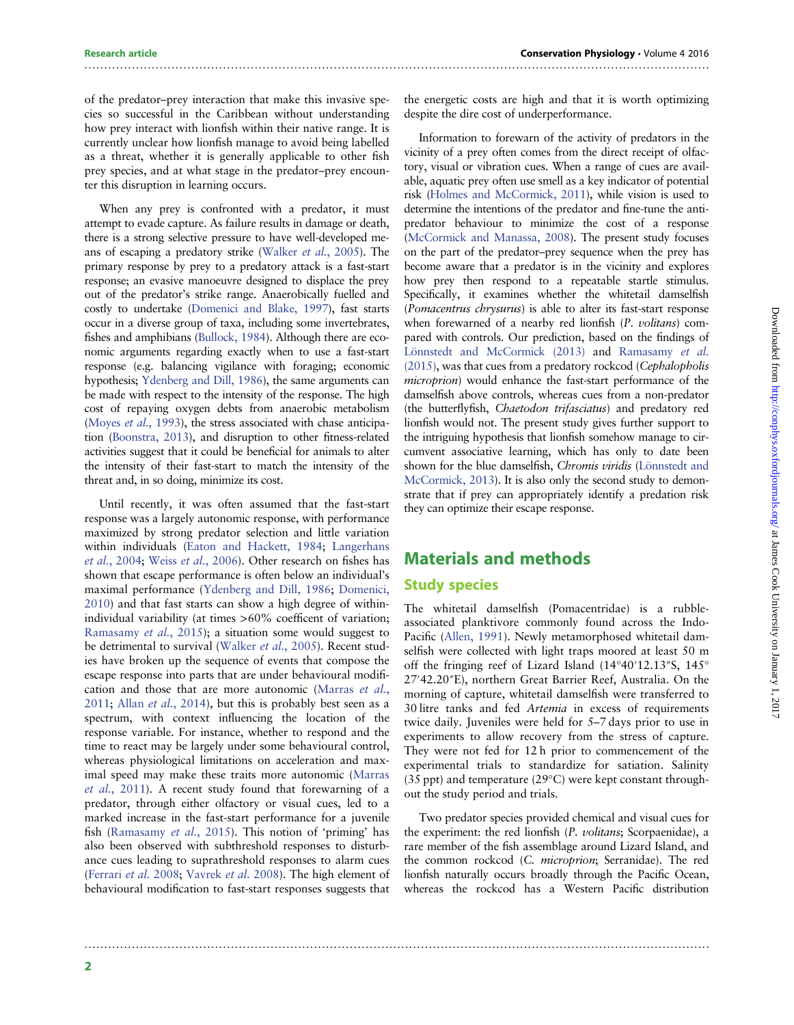#### of the predator–prey interaction that make this invasive species so successful in the Caribbean without understanding how prey interact with lionfish within their native range. It is currently unclear how lionfish manage to avoid being labelled as a threat, whether it is generally applicable to other fish prey species, and at what stage in the predator–prey encounter this disruption in learning occurs.

When any prey is confronted with a predator, it must attempt to evade capture. As failure results in damage or death, there is a strong selective pressure to have well-developed means of escaping a predatory strike [\(Walker](#page-8-0) et al., 2005). The primary response by prey to a predatory attack is a fast-start response; an evasive manoeuvre designed to displace the prey out of the predator's strike range. Anaerobically fuelled and costly to undertake ([Domenici and Blake, 1997](#page-7-0)), fast starts occur in a diverse group of taxa, including some invertebrates, fishes and amphibians ([Bullock, 1984](#page-6-0)). Although there are economic arguments regarding exactly when to use a fast-start response (e.g. balancing vigilance with foraging; economic hypothesis; [Ydenberg and Dill, 1986\)](#page-8-0), the same arguments can be made with respect to the intensity of the response. The high cost of repaying oxygen debts from anaerobic metabolism [\(Moyes](#page-7-0) et al., 1993), the stress associated with chase anticipation ([Boonstra, 2013\)](#page-6-0), and disruption to other fitness-related activities suggest that it could be beneficial for animals to alter the intensity of their fast-start to match the intensity of the threat and, in so doing, minimize its cost.

Until recently, it was often assumed that the fast-start response was a largely autonomic response, with performance maximized by strong predator selection and little variation within individuals [\(Eaton and Hackett, 1984;](#page-7-0) [Langerhans](#page-7-0) et al.[, 2004](#page-7-0); Weiss et al.[, 2006](#page-8-0)). Other research on fishes has shown that escape performance is often below an individual's maximal performance ([Ydenberg and Dill, 1986](#page-8-0); [Domenici,](#page-7-0) [2010\)](#page-7-0) and that fast starts can show a high degree of withinindividual variability (at times >60% coefficent of variation; [Ramasamy](#page-8-0) et al., 2015); a situation some would suggest to be detrimental to survival ([Walker](#page-8-0) et al., 2005). Recent studies have broken up the sequence of events that compose the escape response into parts that are under behavioural modification and those that are more autonomic ([Marras](#page-7-0) et al., [2011;](#page-7-0) Allan *et al.*[, 2014\)](#page-6-0), but this is probably best seen as a spectrum, with context influencing the location of the response variable. For instance, whether to respond and the time to react may be largely under some behavioural control, whereas physiological limitations on acceleration and maximal speed may make these traits more autonomic [\(Marras](#page-7-0) et al.[, 2011](#page-7-0)). A recent study found that forewarning of a predator, through either olfactory or visual cues, led to a marked increase in the fast-start performance for a juvenile fish [\(Ramasamy](#page-8-0) et al., 2015). This notion of 'priming' has also been observed with subthreshold responses to disturbance cues leading to suprathreshold responses to alarm cues [\(Ferrari](#page-7-0) et al. 2008; [Vavrek](#page-8-0) et al. 2008). The high element of behavioural modification to fast-start responses suggests that

the energetic costs are high and that it is worth optimizing despite the dire cost of underperformance.

Information to forewarn of the activity of predators in the vicinity of a prey often comes from the direct receipt of olfactory, visual or vibration cues. When a range of cues are available, aquatic prey often use smell as a key indicator of potential risk [\(Holmes and McCormick, 2011](#page-7-0)), while vision is used to determine the intentions of the predator and fine-tune the antipredator behaviour to minimize the cost of a response ([McCormick and Manassa, 2008\)](#page-7-0). The present study focuses on the part of the predator–prey sequence when the prey has become aware that a predator is in the vicinity and explores how prey then respond to a repeatable startle stimulus. Specifically, it examines whether the whitetail damselfish (Pomacentrus chrysurus) is able to alter its fast-start response when forewarned of a nearby red lionfish (P. volitans) compared with controls. Our prediction, based on the findings of [Lönnstedt and McCormick \(2013\)](#page-7-0) and [Ramasamy](#page-8-0) et al. [\(2015\),](#page-8-0) was that cues from a predatory rockcod (Cephalopholis microprion) would enhance the fast-start performance of the damselfish above controls, whereas cues from a non-predator (the butterflyfish, Chaetodon trifasciatus) and predatory red lionfish would not. The present study gives further support to the intriguing hypothesis that lionfish somehow manage to circumvent associative learning, which has only to date been shown for the blue damselfish, Chromis viridis [\(Lönnstedt and](#page-7-0) [McCormick, 2013](#page-7-0)). It is also only the second study to demonstrate that if prey can appropriately identify a predation risk they can optimize their escape response.

# Materials and methods

### Study species

..............................................................................................................................................................

..............................................................................................................................................................

The whitetail damselfish (Pomacentridae) is a rubbleassociated planktivore commonly found across the Indo-Pacific ([Allen, 1991](#page-6-0)). Newly metamorphosed whitetail damselfish were collected with light traps moored at least 50 m off the fringing reef of Lizard Island (14°40′12.13″S, 145° 27′42.20″E), northern Great Barrier Reef, Australia. On the morning of capture, whitetail damselfish were transferred to 30 litre tanks and fed Artemia in excess of requirements twice daily. Juveniles were held for 5–7 days prior to use in experiments to allow recovery from the stress of capture. They were not fed for 12 h prior to commencement of the experimental trials to standardize for satiation. Salinity (35 ppt) and temperature (29°C) were kept constant throughout the study period and trials.

Two predator species provided chemical and visual cues for the experiment: the red lionfish (P. volitans; Scorpaenidae), a rare member of the fish assemblage around Lizard Island, and the common rockcod (C. microprion; Serranidae). The red lionfish naturally occurs broadly through the Pacific Ocean, whereas the rockcod has a Western Pacific distribution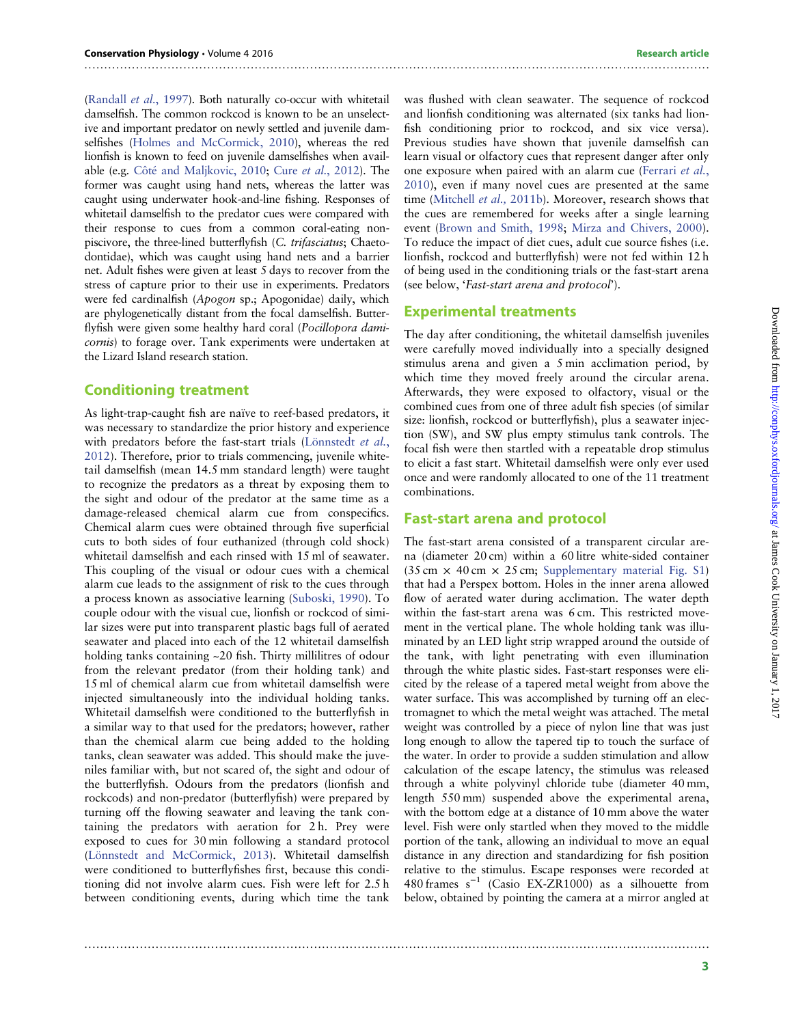[\(Randall](#page-8-0) et al., 1997). Both naturally co-occur with whitetail damselfish. The common rockcod is known to be an unselective and important predator on newly settled and juvenile damselfishes [\(Holmes and McCormick, 2010](#page-7-0)), whereas the red lionfish is known to feed on juvenile damselfishes when available (e.g. [Côté and Maljkovic, 2010](#page-6-0); Cure et al.[, 2012](#page-7-0)). The former was caught using hand nets, whereas the latter was caught using underwater hook-and-line fishing. Responses of whitetail damselfish to the predator cues were compared with their response to cues from a common coral-eating nonpiscivore, the three-lined butterflyfish (C. trifasciatus; Chaetodontidae), which was caught using hand nets and a barrier net. Adult fishes were given at least 5 days to recover from the stress of capture prior to their use in experiments. Predators were fed cardinalfish (Apogon sp.; Apogonidae) daily, which are phylogenetically distant from the focal damselfish. Butterflyfish were given some healthy hard coral (Pocillopora damicornis) to forage over. Tank experiments were undertaken at the Lizard Island research station.

#### Conditioning treatment

As light-trap-caught fish are naïve to reef-based predators, it was necessary to standardize the prior history and experience with predators before the fast-start trials [\(Lönnstedt](#page-7-0) et al., [2012](#page-7-0)). Therefore, prior to trials commencing, juvenile whitetail damselfish (mean 14.5 mm standard length) were taught to recognize the predators as a threat by exposing them to the sight and odour of the predator at the same time as a damage-released chemical alarm cue from conspecifics. Chemical alarm cues were obtained through five superficial cuts to both sides of four euthanized (through cold shock) whitetail damselfish and each rinsed with 15 ml of seawater. This coupling of the visual or odour cues with a chemical alarm cue leads to the assignment of risk to the cues through a process known as associative learning ([Suboski, 1990](#page-8-0)). To couple odour with the visual cue, lionfish or rockcod of similar sizes were put into transparent plastic bags full of aerated seawater and placed into each of the 12 whitetail damselfish holding tanks containing ~20 fish. Thirty millilitres of odour from the relevant predator (from their holding tank) and 15 ml of chemical alarm cue from whitetail damselfish were injected simultaneously into the individual holding tanks. Whitetail damselfish were conditioned to the butterflyfish in a similar way to that used for the predators; however, rather than the chemical alarm cue being added to the holding tanks, clean seawater was added. This should make the juveniles familiar with, but not scared of, the sight and odour of the butterflyfish. Odours from the predators (lionfish and rockcods) and non-predator (butterflyfish) were prepared by turning off the flowing seawater and leaving the tank containing the predators with aeration for 2 h. Prey were exposed to cues for 30 min following a standard protocol [\(Lönnstedt and McCormick, 2013\)](#page-7-0). Whitetail damselfish were conditioned to butterflyfishes first, because this conditioning did not involve alarm cues. Fish were left for 2.5 h between conditioning events, during which time the tank

was flushed with clean seawater. The sequence of rockcod and lionfish conditioning was alternated (six tanks had lionfish conditioning prior to rockcod, and six vice versa). Previous studies have shown that juvenile damselfish can learn visual or olfactory cues that represent danger after only one exposure when paired with an alarm cue ([Ferrari](#page-7-0) et al., [2010\)](#page-7-0), even if many novel cues are presented at the same time [\(Mitchell](#page-7-0) et al., 2011b). Moreover, research shows that the cues are remembered for weeks after a single learning event ([Brown and Smith, 1998;](#page-6-0) [Mirza and Chivers, 2000\)](#page-7-0). To reduce the impact of diet cues, adult cue source fishes (i.e. lionfish, rockcod and butterflyfish) were not fed within 12 h of being used in the conditioning trials or the fast-start arena (see below, 'Fast-start arena and protocol').

#### Experimental treatments

..............................................................................................................................................................

The day after conditioning, the whitetail damselfish juveniles were carefully moved individually into a specially designed stimulus arena and given a 5 min acclimation period, by which time they moved freely around the circular arena. Afterwards, they were exposed to olfactory, visual or the combined cues from one of three adult fish species (of similar size: lionfish, rockcod or butterflyfish), plus a seawater injection (SW), and SW plus empty stimulus tank controls. The focal fish were then startled with a repeatable drop stimulus to elicit a fast start. Whitetail damselfish were only ever used once and were randomly allocated to one of the 11 treatment combinations.

#### Fast-start arena and protocol

..............................................................................................................................................................

The fast-start arena consisted of a transparent circular arena (diameter 20 cm) within a 60 litre white-sided container  $(35 \text{ cm} \times 40 \text{ cm} \times 25 \text{ cm};$  [Supplementary material Fig. S1](http://conphys.oxfordjournals.org/lookup/suppl/doi:10.1093/conphys/cow064/-/DC1)) that had a Perspex bottom. Holes in the inner arena allowed flow of aerated water during acclimation. The water depth within the fast-start arena was 6 cm. This restricted movement in the vertical plane. The whole holding tank was illuminated by an LED light strip wrapped around the outside of the tank, with light penetrating with even illumination through the white plastic sides. Fast-start responses were elicited by the release of a tapered metal weight from above the water surface. This was accomplished by turning off an electromagnet to which the metal weight was attached. The metal weight was controlled by a piece of nylon line that was just long enough to allow the tapered tip to touch the surface of the water. In order to provide a sudden stimulation and allow calculation of the escape latency, the stimulus was released through a white polyvinyl chloride tube (diameter 40 mm, length 550 mm) suspended above the experimental arena, with the bottom edge at a distance of 10 mm above the water level. Fish were only startled when they moved to the middle portion of the tank, allowing an individual to move an equal distance in any direction and standardizing for fish position relative to the stimulus. Escape responses were recorded at 480 frames s−<sup>1</sup> (Casio EX-ZR1000) as a silhouette from below, obtained by pointing the camera at a mirror angled at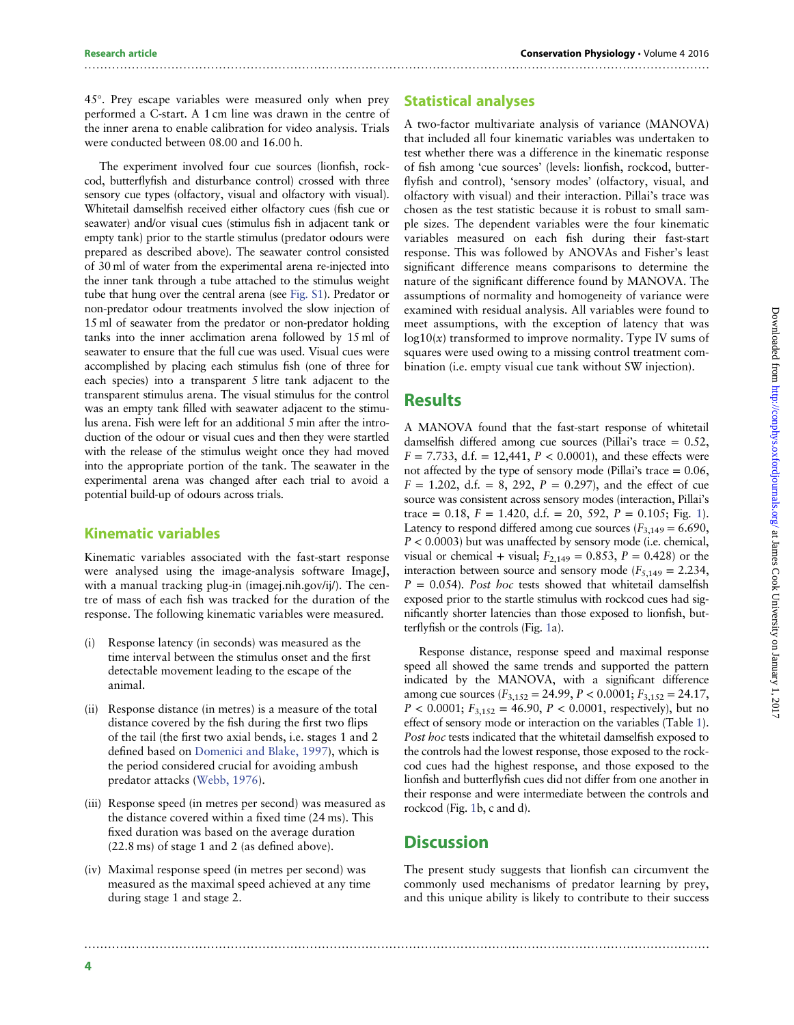45°. Prey escape variables were measured only when prey performed a C-start. A 1 cm line was drawn in the centre of the inner arena to enable calibration for video analysis. Trials were conducted between 08.00 and 16.00 h.

The experiment involved four cue sources (lionfish, rockcod, butterflyfish and disturbance control) crossed with three sensory cue types (olfactory, visual and olfactory with visual). Whitetail damselfish received either olfactory cues (fish cue or seawater) and/or visual cues (stimulus fish in adjacent tank or empty tank) prior to the startle stimulus (predator odours were prepared as described above). The seawater control consisted of 30 ml of water from the experimental arena re-injected into the inner tank through a tube attached to the stimulus weight tube that hung over the central arena (see [Fig. S1\)](http://conphys.oxfordjournals.org/lookup/suppl/doi:10.1093/conphys/cow064/-/DC1). Predator or non-predator odour treatments involved the slow injection of 15 ml of seawater from the predator or non-predator holding tanks into the inner acclimation arena followed by 15 ml of seawater to ensure that the full cue was used. Visual cues were accomplished by placing each stimulus fish (one of three for each species) into a transparent 5 litre tank adjacent to the transparent stimulus arena. The visual stimulus for the control was an empty tank filled with seawater adjacent to the stimulus arena. Fish were left for an additional 5 min after the introduction of the odour or visual cues and then they were startled with the release of the stimulus weight once they had moved into the appropriate portion of the tank. The seawater in the experimental arena was changed after each trial to avoid a potential build-up of odours across trials.

### Kinematic variables

Kinematic variables associated with the fast-start response were analysed using the image-analysis software ImageJ, with a manual tracking plug-in (imagej.nih.gov/ij/). The centre of mass of each fish was tracked for the duration of the response. The following kinematic variables were measured.

- (i) Response latency (in seconds) was measured as the time interval between the stimulus onset and the first detectable movement leading to the escape of the animal.
- (ii) Response distance (in metres) is a measure of the total distance covered by the fish during the first two flips of the tail (the first two axial bends, i.e. stages 1 and 2 defined based on [Domenici and Blake, 1997\)](#page-7-0), which is the period considered crucial for avoiding ambush predator attacks ([Webb, 1976](#page-8-0)).
- (iii) Response speed (in metres per second) was measured as the distance covered within a fixed time (24 ms). This fixed duration was based on the average duration (22.8 ms) of stage 1 and 2 (as defined above).
- (iv) Maximal response speed (in metres per second) was measured as the maximal speed achieved at any time during stage 1 and stage 2.

### Statistical analyses

..............................................................................................................................................................

A two-factor multivariate analysis of variance (MANOVA) that included all four kinematic variables was undertaken to test whether there was a difference in the kinematic response of fish among 'cue sources' (levels: lionfish, rockcod, butterflyfish and control), 'sensory modes' (olfactory, visual, and olfactory with visual) and their interaction. Pillai's trace was chosen as the test statistic because it is robust to small sample sizes. The dependent variables were the four kinematic variables measured on each fish during their fast-start response. This was followed by ANOVAs and Fisher's least significant difference means comparisons to determine the nature of the significant difference found by MANOVA. The assumptions of normality and homogeneity of variance were examined with residual analysis. All variables were found to meet assumptions, with the exception of latency that was  $log10(x)$  transformed to improve normality. Type IV sums of squares were used owing to a missing control treatment combination (i.e. empty visual cue tank without SW injection).

## **Results**

A MANOVA found that the fast-start response of whitetail damselfish differed among cue sources (Pillai's trace = 0.52,  $F = 7.733$ , d.f. = 12,441,  $P < 0.0001$ ), and these effects were not affected by the type of sensory mode (Pillai's trace  $= 0.06$ ,  $F = 1.202$ , d.f. = 8, 292,  $P = 0.297$ ), and the effect of cue source was consistent across sensory modes (interaction, Pillai's trace = 0.18,  $F = 1.420$ , d.f. = 20, 592,  $P = 0.105$ ; Fig. [1\)](#page-4-0). Latency to respond differed among cue sources ( $F_{3,149} = 6.690$ ,  $P < 0.0003$ ) but was unaffected by sensory mode (i.e. chemical, visual or chemical + visual;  $F_{2,149} = 0.853$ ,  $P = 0.428$ ) or the interaction between source and sensory mode ( $F_{5,149} = 2.234$ ,  $P = 0.054$ ). Post hoc tests showed that whitetail damselfish exposed prior to the startle stimulus with rockcod cues had significantly shorter latencies than those exposed to lionfish, butterflyfish or the controls (Fig. [1a](#page-4-0)).

Response distance, response speed and maximal response speed all showed the same trends and supported the pattern indicated by the MANOVA, with a significant difference among cue sources ( $F_{3,152} = 24.99$ ,  $P < 0.0001$ ;  $F_{3,152} = 24.17$ ,  $P < 0.0001$ ;  $F_{3,152} = 46.90$ ,  $P < 0.0001$ , respectively), but no effect of sensory mode or interaction on the variables (Table [1\)](#page-4-0). Post hoc tests indicated that the whitetail damselfish exposed to the controls had the lowest response, those exposed to the rockcod cues had the highest response, and those exposed to the lionfish and butterflyfish cues did not differ from one another in their response and were intermediate between the controls and rockcod (Fig. [1b](#page-4-0), c and d).

# **Discussion**

..............................................................................................................................................................

The present study suggests that lionfish can circumvent the commonly used mechanisms of predator learning by prey, and this unique ability is likely to contribute to their success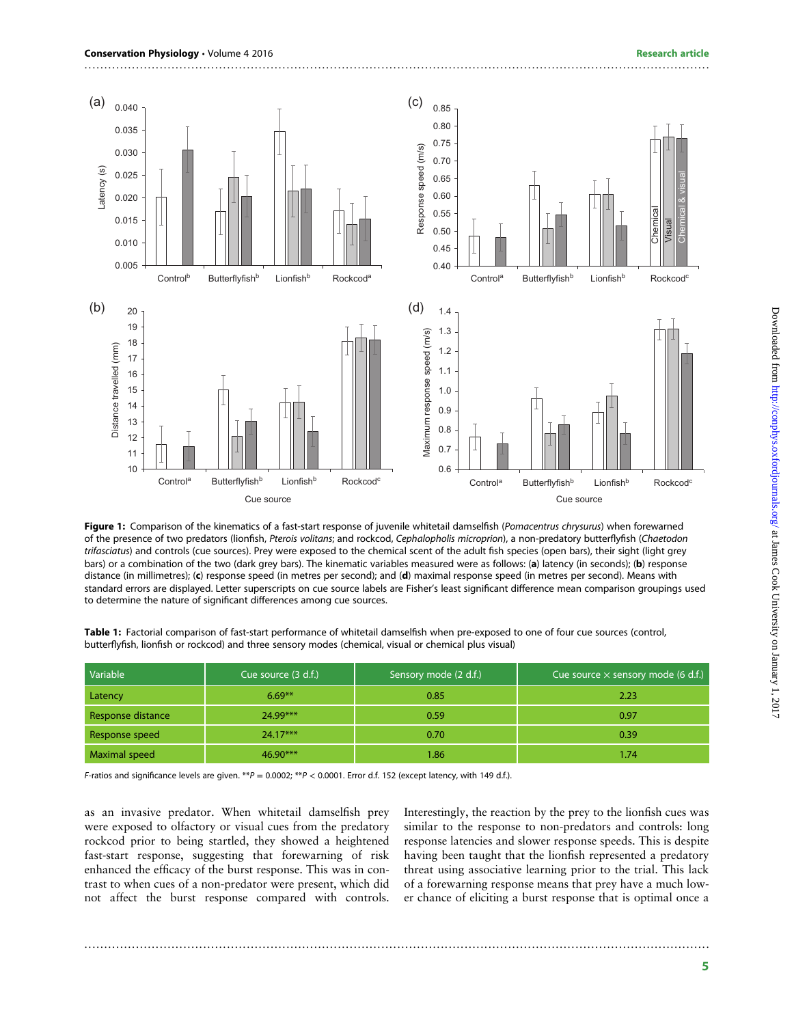<span id="page-4-0"></span>

..............................................................................................................................................................

Figure 1: Comparison of the kinematics of a fast-start response of juvenile whitetail damselfish (Pomacentrus chrysurus) when forewarned of the presence of two predators (lionfish, Pterois volitans; and rockcod, Cephalopholis microprion), a non-predatory butterflyfish (Chaetodon trifasciatus) and controls (cue sources). Prey were exposed to the chemical scent of the adult fish species (open bars), their sight (light grey bars) or a combination of the two (dark grey bars). The kinematic variables measured were as follows: (a) latency (in seconds); (b) response distance (in millimetres); (c) response speed (in metres per second); and (d) maximal response speed (in metres per second). Means with standard errors are displayed. Letter superscripts on cue source labels are Fisher's least significant difference mean comparison groupings used to determine the nature of significant differences among cue sources.

| Variable          | Cue source (3 d.f.) | Sensory mode (2 d.f.) | Cue source $\times$ sensory mode (6 d.f.) |
|-------------------|---------------------|-----------------------|-------------------------------------------|
| Latency           | $6.69***$           | 0.85                  | 2.23                                      |
| Response distance | 24.99***            | 0.59                  | 0.97                                      |
| Response speed    | $24.17***$          | 0.70                  | 0.39                                      |
| Maximal speed     | $46.90***$          | 1.86                  | 1.74                                      |

Table 1: Factorial comparison of fast-start performance of whitetail damselfish when pre-exposed to one of four cue sources (control, butterflyfish, lionfish or rockcod) and three sensory modes (chemical, visual or chemical plus visual)

F-ratios and significance levels are given. \*\* $P = 0.0002$ ; \*\* $P < 0.0001$ . Error d.f. 152 (except latency, with 149 d.f.).

as an invasive predator. When whitetail damselfish prey were exposed to olfactory or visual cues from the predatory rockcod prior to being startled, they showed a heightened fast-start response, suggesting that forewarning of risk enhanced the efficacy of the burst response. This was in contrast to when cues of a non-predator were present, which did not affect the burst response compared with controls.

Interestingly, the reaction by the prey to the lionfish cues was similar to the response to non-predators and controls: long response latencies and slower response speeds. This is despite having been taught that the lionfish represented a predatory threat using associative learning prior to the trial. This lack of a forewarning response means that prey have a much lower chance of eliciting a burst response that is optimal once a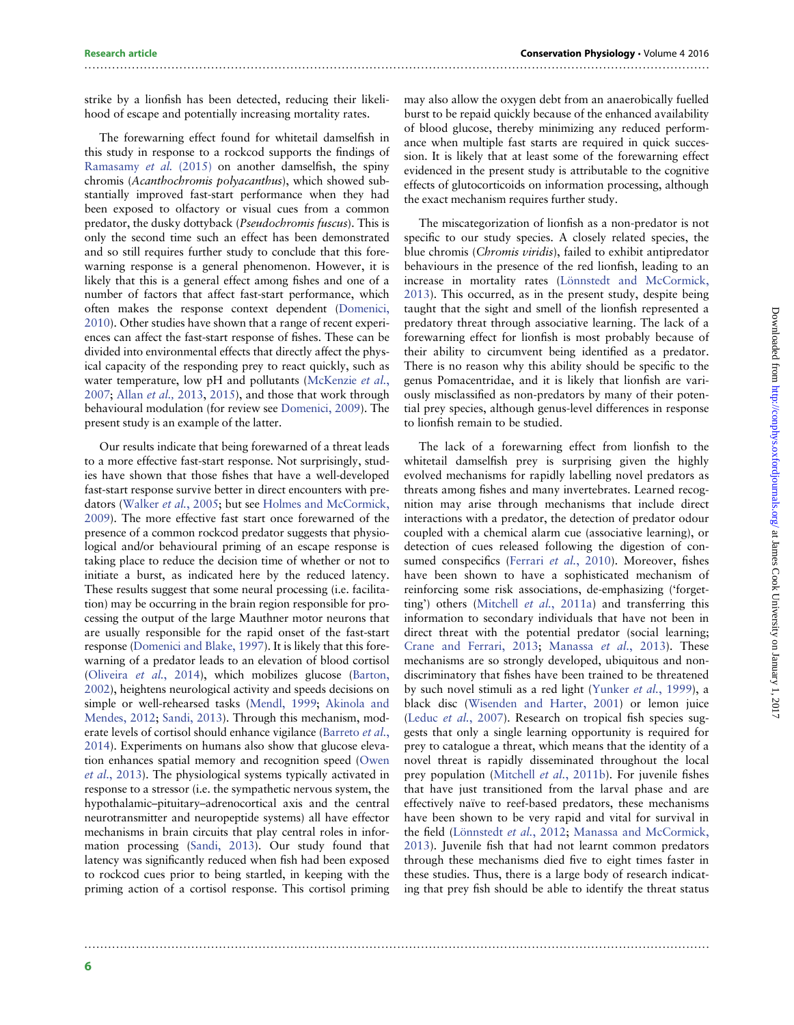strike by a lionfish has been detected, reducing their likelihood of escape and potentially increasing mortality rates.

..............................................................................................................................................................

The forewarning effect found for whitetail damselfish in this study in response to a rockcod supports the findings of [Ramasamy](#page-8-0) et al. (2015) on another damselfish, the spiny chromis (Acanthochromis polyacanthus), which showed substantially improved fast-start performance when they had been exposed to olfactory or visual cues from a common predator, the dusky dottyback (Pseudochromis fuscus). This is only the second time such an effect has been demonstrated and so still requires further study to conclude that this forewarning response is a general phenomenon. However, it is likely that this is a general effect among fishes and one of a number of factors that affect fast-start performance, which often makes the response context dependent [\(Domenici,](#page-7-0) [2010\)](#page-7-0). Other studies have shown that a range of recent experiences can affect the fast-start response of fishes. These can be divided into environmental effects that directly affect the physical capacity of the responding prey to react quickly, such as water temperature, low pH and pollutants [\(McKenzie](#page-7-0) et al., [2007;](#page-7-0) [Allan](#page-6-0) et al., 2013, [2015\)](#page-6-0), and those that work through behavioural modulation (for review see [Domenici, 2009](#page-7-0)). The present study is an example of the latter.

Our results indicate that being forewarned of a threat leads to a more effective fast-start response. Not surprisingly, studies have shown that those fishes that have a well-developed fast-start response survive better in direct encounters with predators ([Walker](#page-8-0) et al., 2005; but see [Holmes and McCormick,](#page-7-0) [2009\)](#page-7-0). The more effective fast start once forewarned of the presence of a common rockcod predator suggests that physiological and/or behavioural priming of an escape response is taking place to reduce the decision time of whether or not to initiate a burst, as indicated here by the reduced latency. These results suggest that some neural processing (i.e. facilitation) may be occurring in the brain region responsible for processing the output of the large Mauthner motor neurons that are usually responsible for the rapid onset of the fast-start response [\(Domenici and Blake, 1997\)](#page-7-0). It is likely that this forewarning of a predator leads to an elevation of blood cortisol [\(Oliveira](#page-8-0) et al., 2014), which mobilizes glucose [\(Barton,](#page-6-0) [2002\)](#page-6-0), heightens neurological activity and speeds decisions on simple or well-rehearsed tasks ([Mendl, 1999](#page-7-0); [Akinola and](#page-6-0) [Mendes, 2012](#page-6-0); [Sandi, 2013\)](#page-8-0). Through this mechanism, mod-erate levels of cortisol should enhance vigilance [\(Barreto](#page-6-0) et al., [2014\)](#page-6-0). Experiments on humans also show that glucose elevation enhances spatial memory and recognition speed [\(Owen](#page-8-0) et al.[, 2013](#page-8-0)). The physiological systems typically activated in response to a stressor (i.e. the sympathetic nervous system, the hypothalamic–pituitary–adrenocortical axis and the central neurotransmitter and neuropeptide systems) all have effector mechanisms in brain circuits that play central roles in information processing [\(Sandi, 2013](#page-8-0)). Our study found that latency was significantly reduced when fish had been exposed to rockcod cues prior to being startled, in keeping with the priming action of a cortisol response. This cortisol priming

..............................................................................................................................................................

may also allow the oxygen debt from an anaerobically fuelled burst to be repaid quickly because of the enhanced availability of blood glucose, thereby minimizing any reduced performance when multiple fast starts are required in quick succession. It is likely that at least some of the forewarning effect evidenced in the present study is attributable to the cognitive effects of glutocorticoids on information processing, although the exact mechanism requires further study.

The miscategorization of lionfish as a non-predator is not specific to our study species. A closely related species, the blue chromis (Chromis viridis), failed to exhibit antipredator behaviours in the presence of the red lionfish, leading to an increase in mortality rates [\(Lönnstedt and McCormick,](#page-7-0) [2013\)](#page-7-0). This occurred, as in the present study, despite being taught that the sight and smell of the lionfish represented a predatory threat through associative learning. The lack of a forewarning effect for lionfish is most probably because of their ability to circumvent being identified as a predator. There is no reason why this ability should be specific to the genus Pomacentridae, and it is likely that lionfish are variously misclassified as non-predators by many of their potential prey species, although genus-level differences in response to lionfish remain to be studied.

The lack of a forewarning effect from lionfish to the whitetail damselfish prey is surprising given the highly evolved mechanisms for rapidly labelling novel predators as threats among fishes and many invertebrates. Learned recognition may arise through mechanisms that include direct interactions with a predator, the detection of predator odour coupled with a chemical alarm cue (associative learning), or detection of cues released following the digestion of con-sumed conspecifics [\(Ferrari](#page-7-0) et al., 2010). Moreover, fishes have been shown to have a sophisticated mechanism of reinforcing some risk associations, de-emphasizing ('forgetting') others ([Mitchell](#page-7-0) et al., 2011a) and transferring this information to secondary individuals that have not been in direct threat with the potential predator (social learning; [Crane and Ferrari, 2013](#page-7-0); [Manassa](#page-7-0) et al., 2013). These mechanisms are so strongly developed, ubiquitous and nondiscriminatory that fishes have been trained to be threatened by such novel stimuli as a red light ([Yunker](#page-8-0) et al., 1999), a black disc [\(Wisenden and Harter, 2001\)](#page-8-0) or lemon juice (Leduc *et al.*[, 2007](#page-7-0)). Research on tropical fish species suggests that only a single learning opportunity is required for prey to catalogue a threat, which means that the identity of a novel threat is rapidly disseminated throughout the local prey population ([Mitchell](#page-7-0) *et al.*, 2011b). For juvenile fishes that have just transitioned from the larval phase and are effectively naïve to reef-based predators, these mechanisms have been shown to be very rapid and vital for survival in the field ([Lönnstedt](#page-7-0) et al., 2012; [Manassa and McCormick,](#page-7-0) [2013\)](#page-7-0). Juvenile fish that had not learnt common predators through these mechanisms died five to eight times faster in these studies. Thus, there is a large body of research indicating that prey fish should be able to identify the threat status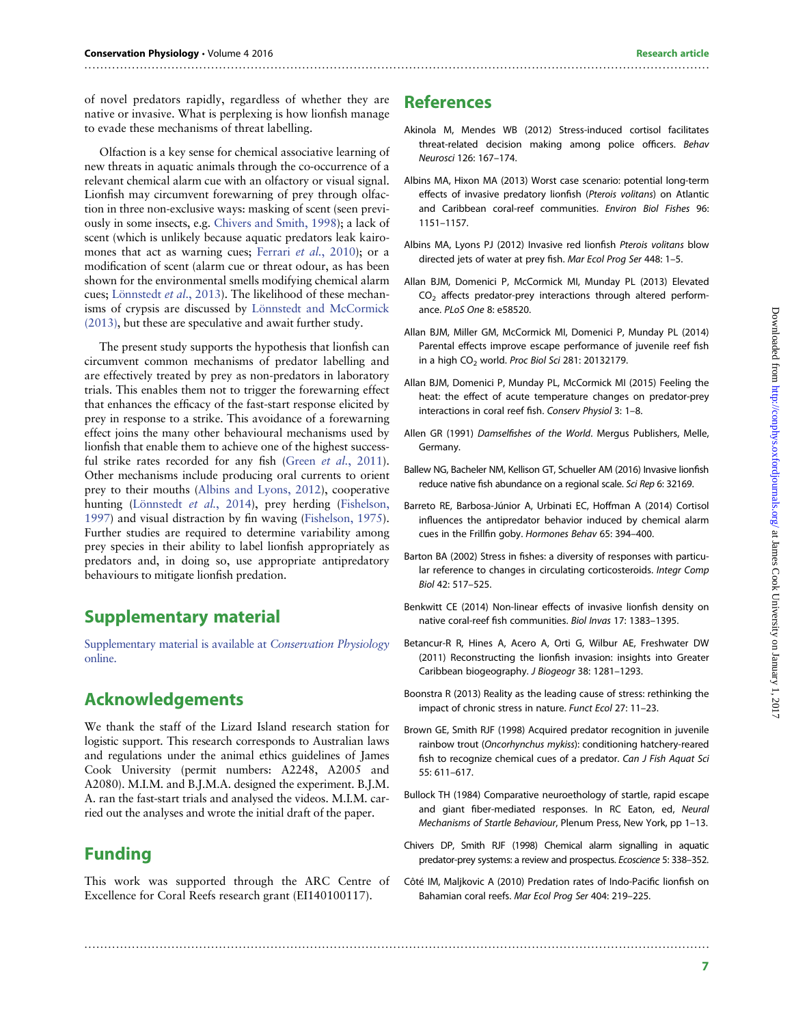<span id="page-6-0"></span>of novel predators rapidly, regardless of whether they are native or invasive. What is perplexing is how lionfish manage to evade these mechanisms of threat labelling.

Olfaction is a key sense for chemical associative learning of new threats in aquatic animals through the co-occurrence of a relevant chemical alarm cue with an olfactory or visual signal. Lionfish may circumvent forewarning of prey through olfaction in three non-exclusive ways: masking of scent (seen previously in some insects, e.g. Chivers and Smith, 1998); a lack of scent (which is unlikely because aquatic predators leak kairo-mones that act as warning cues; [Ferrari](#page-7-0) et al., 2010); or a modification of scent (alarm cue or threat odour, as has been shown for the environmental smells modifying chemical alarm cues; [Lönnstedt](#page-7-0) et al., 2013). The likelihood of these mechanisms of crypsis are discussed by [Lönnstedt and McCormick](#page-7-0) [\(2013\),](#page-7-0) but these are speculative and await further study.

The present study supports the hypothesis that lionfish can circumvent common mechanisms of predator labelling and are effectively treated by prey as non-predators in laboratory trials. This enables them not to trigger the forewarning effect that enhances the efficacy of the fast-start response elicited by prey in response to a strike. This avoidance of a forewarning effect joins the many other behavioural mechanisms used by lionfish that enable them to achieve one of the highest success-ful strike rates recorded for any fish (Green et al.[, 2011](#page-7-0)). Other mechanisms include producing oral currents to orient prey to their mouths (Albins and Lyons, 2012), cooperative hunting ([Lönnstedt](#page-7-0) et al., 2014), prey herding ([Fishelson,](#page-7-0) [1997\)](#page-7-0) and visual distraction by fin waving [\(Fishelson, 1975](#page-7-0)). Further studies are required to determine variability among prey species in their ability to label lionfish appropriately as predators and, in doing so, use appropriate antipredatory behaviours to mitigate lionfish predation.

# Supplementary material

[Supplementary material is available at](http://conphys.oxfordjournals.org/lookup/suppl/doi:10.1093/conphys/cow064/-/DC1) Conservation Physiology [online.](http://conphys.oxfordjournals.org/lookup/suppl/doi:10.1093/conphys/cow064/-/DC1)

# Acknowledgements

We thank the staff of the Lizard Island research station for logistic support. This research corresponds to Australian laws and regulations under the animal ethics guidelines of James Cook University (permit numbers: A2248, A2005 and A2080). M.I.M. and B.J.M.A. designed the experiment. B.J.M. A. ran the fast-start trials and analysed the videos. M.I.M. carried out the analyses and wrote the initial draft of the paper.

# Funding

This work was supported through the ARC Centre of Excellence for Coral Reefs research grant (EI140100117).

..............................................................................................................................................................

# References

- Akinola M, Mendes WB (2012) Stress-induced cortisol facilitates threat-related decision making among police officers. Behav Neurosci 126: 167–174.
- Albins MA, Hixon MA (2013) Worst case scenario: potential long-term effects of invasive predatory lionfish (Pterois volitans) on Atlantic and Caribbean coral-reef communities. Environ Biol Fishes 96: 1151–1157.
- Albins MA, Lyons PJ (2012) Invasive red lionfish Pterois volitans blow directed jets of water at prey fish. Mar Ecol Prog Ser 448: 1–5.
- Allan BJM, Domenici P, McCormick MI, Munday PL (2013) Elevated  $CO<sub>2</sub>$  affects predator-prey interactions through altered performance. PLoS One 8: e58520.
- Allan BJM, Miller GM, McCormick MI, Domenici P, Munday PL (2014) Parental effects improve escape performance of juvenile reef fish in a high  $CO<sub>2</sub>$  world. Proc Biol Sci 281: 20132179.
- Allan BJM, Domenici P, Munday PL, McCormick MI (2015) Feeling the heat: the effect of acute temperature changes on predator-prey interactions in coral reef fish. Conserv Physiol 3: 1–8.
- Allen GR (1991) Damselfishes of the World. Mergus Publishers, Melle, Germany.
- Ballew NG, Bacheler NM, Kellison GT, Schueller AM (2016) Invasive lionfish reduce native fish abundance on a regional scale. Sci Rep 6: 32169.
- Barreto RE, Barbosa-Júnior A, Urbinati EC, Hoffman A (2014) Cortisol influences the antipredator behavior induced by chemical alarm cues in the Frillfin goby. Hormones Behav 65: 394–400.
- Barton BA (2002) Stress in fishes: a diversity of responses with particular reference to changes in circulating corticosteroids. Integr Comp Biol 42: 517–525.
- Benkwitt CE (2014) Non-linear effects of invasive lionfish density on native coral-reef fish communities. Biol Invas 17: 1383–1395.
- Betancur-R R, Hines A, Acero A, Orti G, Wilbur AE, Freshwater DW (2011) Reconstructing the lionfish invasion: insights into Greater Caribbean biogeography. J Biogeogr 38: 1281–1293.
- Boonstra R (2013) Reality as the leading cause of stress: rethinking the impact of chronic stress in nature. Funct Ecol 27: 11–23.
- Brown GE, Smith RJF (1998) Acquired predator recognition in juvenile rainbow trout (Oncorhynchus mykiss): conditioning hatchery-reared fish to recognize chemical cues of a predator. Can J Fish Aquat Sci 55: 611–617.
- Bullock TH (1984) Comparative neuroethology of startle, rapid escape and giant fiber-mediated responses. In RC Eaton, ed, Neural Mechanisms of Startle Behaviour, Plenum Press, New York, pp 1–13.
- Chivers DP, Smith RJF (1998) Chemical alarm signalling in aquatic predator-prey systems: a review and prospectus. Ecoscience 5: 338–352.
- Côté IM, Maljkovic A (2010) Predation rates of Indo-Pacific lionfish on Bahamian coral reefs. Mar Ecol Prog Ser 404: 219–225.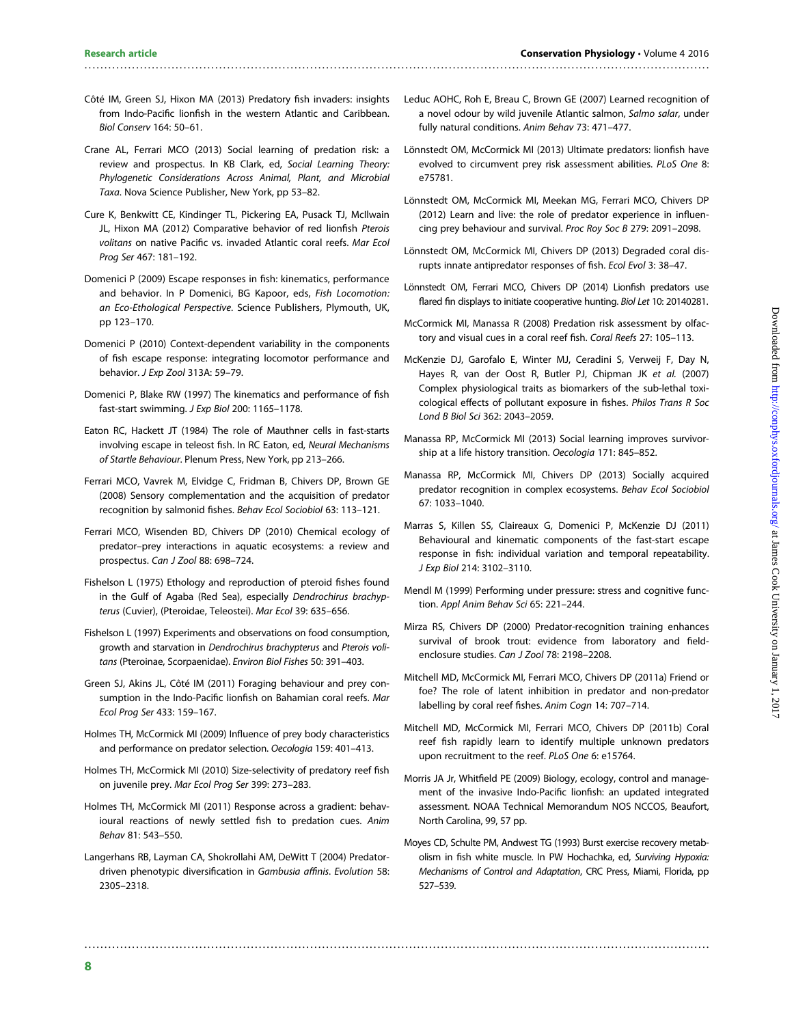Côté IM, Green SJ, Hixon MA (2013) Predatory fish invaders: insights from Indo-Pacific lionfish in the western Atlantic and Caribbean. Biol Conserv 164: 50–61.

<span id="page-7-0"></span>..............................................................................................................................................................

- Crane AL, Ferrari MCO (2013) Social learning of predation risk: a review and prospectus. In KB Clark, ed, Social Learning Theory: Phylogenetic Considerations Across Animal, Plant, and Microbial Taxa. Nova Science Publisher, New York, pp 53–82.
- Cure K, Benkwitt CE, Kindinger TL, Pickering EA, Pusack TJ, McIlwain JL, Hixon MA (2012) Comparative behavior of red lionfish Pterois volitans on native Pacific vs. invaded Atlantic coral reefs. Mar Ecol Prog Ser 467: 181–192.
- Domenici P (2009) Escape responses in fish: kinematics, performance and behavior. In P Domenici, BG Kapoor, eds, Fish Locomotion: an Eco-Ethological Perspective. Science Publishers, Plymouth, UK, pp 123–170.
- Domenici P (2010) Context-dependent variability in the components of fish escape response: integrating locomotor performance and behavior. J Exp Zool 313A: 59–79.
- Domenici P, Blake RW (1997) The kinematics and performance of fish fast-start swimming. J Exp Biol 200: 1165–1178.
- Eaton RC, Hackett JT (1984) The role of Mauthner cells in fast-starts involving escape in teleost fish. In RC Eaton, ed, Neural Mechanisms of Startle Behaviour. Plenum Press, New York, pp 213–266.
- Ferrari MCO, Vavrek M, Elvidge C, Fridman B, Chivers DP, Brown GE (2008) Sensory complementation and the acquisition of predator recognition by salmonid fishes. Behav Ecol Sociobiol 63: 113–121.
- Ferrari MCO, Wisenden BD, Chivers DP (2010) Chemical ecology of predator–prey interactions in aquatic ecosystems: a review and prospectus. Can J Zool 88: 698–724.
- Fishelson L (1975) Ethology and reproduction of pteroid fishes found in the Gulf of Agaba (Red Sea), especially Dendrochirus brachypterus (Cuvier), (Pteroidae, Teleostei). Mar Ecol 39: 635–656.
- Fishelson L (1997) Experiments and observations on food consumption, growth and starvation in Dendrochirus brachypterus and Pterois volitans (Pteroinae, Scorpaenidae). Environ Biol Fishes 50: 391–403.
- Green SJ, Akins JL, Côté IM (2011) Foraging behaviour and prey consumption in the Indo-Pacific lionfish on Bahamian coral reefs. Mar Ecol Prog Ser 433: 159–167.
- Holmes TH, McCormick MI (2009) Influence of prey body characteristics and performance on predator selection. Oecologia 159: 401–413.
- Holmes TH, McCormick MI (2010) Size-selectivity of predatory reef fish on juvenile prey. Mar Ecol Prog Ser 399: 273–283.
- Holmes TH, McCormick MI (2011) Response across a gradient: behavioural reactions of newly settled fish to predation cues. Anim Behav 81: 543–550.
- Langerhans RB, Layman CA, Shokrollahi AM, DeWitt T (2004) Predatordriven phenotypic diversification in Gambusia affinis. Evolution 58: 2305–2318.
- Leduc AOHC, Roh E, Breau C, Brown GE (2007) Learned recognition of a novel odour by wild juvenile Atlantic salmon, Salmo salar, under fully natural conditions. Anim Behav 73: 471–477.
- Lönnstedt OM, McCormick MI (2013) Ultimate predators: lionfish have evolved to circumvent prey risk assessment abilities. PLoS One 8: e75781.
- Lönnstedt OM, McCormick MI, Meekan MG, Ferrari MCO, Chivers DP (2012) Learn and live: the role of predator experience in influencing prey behaviour and survival. Proc Roy Soc B 279: 2091–2098.
- Lönnstedt OM, McCormick MI, Chivers DP (2013) Degraded coral disrupts innate antipredator responses of fish. Ecol Evol 3: 38–47.
- Lönnstedt OM, Ferrari MCO, Chivers DP (2014) Lionfish predators use flared fin displays to initiate cooperative hunting. Biol Let 10: 20140281.
- McCormick MI, Manassa R (2008) Predation risk assessment by olfactory and visual cues in a coral reef fish. Coral Reefs 27: 105–113.
- McKenzie DJ, Garofalo E, Winter MJ, Ceradini S, Verweij F, Day N, Hayes R, van der Oost R, Butler PJ, Chipman JK et al. (2007) Complex physiological traits as biomarkers of the sub-lethal toxicological effects of pollutant exposure in fishes. Philos Trans R Soc Lond B Biol Sci 362: 2043–2059.
- Manassa RP, McCormick MI (2013) Social learning improves survivorship at a life history transition. Oecologia 171: 845–852.
- Manassa RP, McCormick MI, Chivers DP (2013) Socially acquired predator recognition in complex ecosystems. Behav Ecol Sociobiol 67: 1033–1040.
- Marras S, Killen SS, Claireaux G, Domenici P, McKenzie DJ (2011) Behavioural and kinematic components of the fast-start escape response in fish: individual variation and temporal repeatability. J Exp Biol 214: 3102–3110.
- Mendl M (1999) Performing under pressure: stress and cognitive function. Appl Anim Behav Sci 65: 221–244.
- Mirza RS, Chivers DP (2000) Predator-recognition training enhances survival of brook trout: evidence from laboratory and fieldenclosure studies. Can J Zool 78: 2198–2208.
- Mitchell MD, McCormick MI, Ferrari MCO, Chivers DP (2011a) Friend or foe? The role of latent inhibition in predator and non-predator labelling by coral reef fishes. Anim Cogn 14: 707–714.
- Mitchell MD, McCormick MI, Ferrari MCO, Chivers DP (2011b) Coral reef fish rapidly learn to identify multiple unknown predators upon recruitment to the reef. PLoS One 6: e15764.
- Morris JA Jr, Whitfield PE (2009) Biology, ecology, control and management of the invasive Indo-Pacific lionfish: an updated integrated assessment. NOAA Technical Memorandum NOS NCCOS, Beaufort, North Carolina, 99, 57 pp.
- Moyes CD, Schulte PM, Andwest TG (1993) Burst exercise recovery metabolism in fish white muscle. In PW Hochachka, ed, Surviving Hypoxia: Mechanisms of Control and Adaptation, CRC Press, Miami, Florida, pp 527–539.